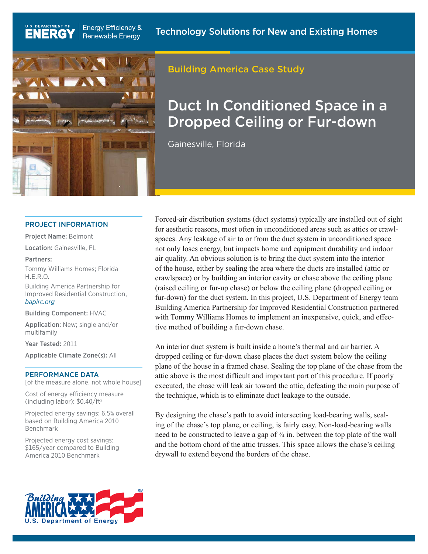

**Energy Efficiency &** 

Renewable Energy

# Building America Case Study

# Duct In Conditioned Space in a Dropped Ceiling or Fur-down

Gainesville, Florida

#### PROJECT INFORMATION

Project Name: Belmont

U.S. DEPARTMENT OF

**ENERG** 

Location: Gainesville, FL

#### Partners:

Tommy Williams Homes; Florida H.E.R.O.

Building America Partnership for Improved Residential Construction, *[bapirc.org](http://www.bapirc.org)*

Building Component: HVAC

Application: New; single and/or multifamily

Year Tested: 2011

Applicable Climate Zone(s): All

#### PERFORMANCE DATA

[of the measure alone, not whole house]

Cost of energy efficiency measure (including labor): \$0.40/ft2

Projected energy savings: 6.5% overall based on Building America 2010 Benchmark

Projected energy cost savings: \$165/year compared to Building America 2010 Benchmark

Forced-air distribution systems (duct systems) typically are installed out of sight for aesthetic reasons, most often in unconditioned areas such as attics or crawlspaces. Any leakage of air to or from the duct system in unconditioned space not only loses energy, but impacts home and equipment durability and indoor air quality. An obvious solution is to bring the duct system into the interior of the house, either by sealing the area where the ducts are installed (attic or crawlspace) or by building an interior cavity or chase above the ceiling plane (raised ceiling or fur-up chase) or below the ceiling plane (dropped ceiling or fur-down) for the duct system. In this project, U.S. Department of Energy team Building America Partnership for Improved Residential Construction partnered with Tommy Williams Homes to implement an inexpensive, quick, and effective method of building a fur-down chase.

An interior duct system is built inside a home's thermal and air barrier. A dropped ceiling or fur-down chase places the duct system below the ceiling plane of the house in a framed chase. Sealing the top plane of the chase from the attic above is the most difficult and important part of this procedure. If poorly executed, the chase will leak air toward the attic, defeating the main purpose of the technique, which is to eliminate duct leakage to the outside.

By designing the chase's path to avoid intersecting load-bearing walls, sealing of the chase's top plane, or ceiling, is fairly easy. Non-load-bearing walls need to be constructed to leave a gap of  $\frac{3}{4}$  in. between the top plate of the wall and the bottom chord of the attic trusses. This space allows the chase's ceiling drywall to extend beyond the borders of the chase.